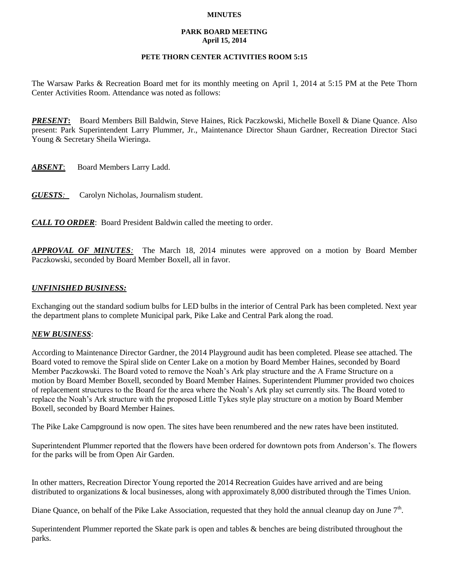### **MINUTES**

#### **PARK BOARD MEETING April 15, 2014**

# **PETE THORN CENTER ACTIVITIES ROOM 5:15**

The Warsaw Parks & Recreation Board met for its monthly meeting on April 1, 2014 at 5:15 PM at the Pete Thorn Center Activities Room. Attendance was noted as follows:

*PRESENT***:** Board Members Bill Baldwin, Steve Haines, Rick Paczkowski, Michelle Boxell & Diane Quance. Also present: Park Superintendent Larry Plummer, Jr., Maintenance Director Shaun Gardner, Recreation Director Staci Young & Secretary Sheila Wieringa.

*ABSENT*: Board Members Larry Ladd.

*GUESTS:*Carolyn Nicholas, Journalism student.

*CALL TO ORDER*: Board President Baldwin called the meeting to order.

*APPROVAL OF MINUTES:* The March 18, 2014 minutes were approved on a motion by Board Member Paczkowski, seconded by Board Member Boxell, all in favor.

## *UNFINISHED BUSINESS:*

Exchanging out the standard sodium bulbs for LED bulbs in the interior of Central Park has been completed. Next year the department plans to complete Municipal park, Pike Lake and Central Park along the road.

## *NEW BUSINESS*:

According to Maintenance Director Gardner, the 2014 Playground audit has been completed. Please see attached. The Board voted to remove the Spiral slide on Center Lake on a motion by Board Member Haines, seconded by Board Member Paczkowski. The Board voted to remove the Noah's Ark play structure and the A Frame Structure on a motion by Board Member Boxell, seconded by Board Member Haines. Superintendent Plummer provided two choices of replacement structures to the Board for the area where the Noah's Ark play set currently sits. The Board voted to replace the Noah's Ark structure with the proposed Little Tykes style play structure on a motion by Board Member Boxell, seconded by Board Member Haines.

The Pike Lake Campground is now open. The sites have been renumbered and the new rates have been instituted.

Superintendent Plummer reported that the flowers have been ordered for downtown pots from Anderson's. The flowers for the parks will be from Open Air Garden.

In other matters, Recreation Director Young reported the 2014 Recreation Guides have arrived and are being distributed to organizations & local businesses, along with approximately 8,000 distributed through the Times Union.

Diane Quance, on behalf of the Pike Lake Association, requested that they hold the annual cleanup day on June  $7<sup>th</sup>$ .

Superintendent Plummer reported the Skate park is open and tables & benches are being distributed throughout the parks.